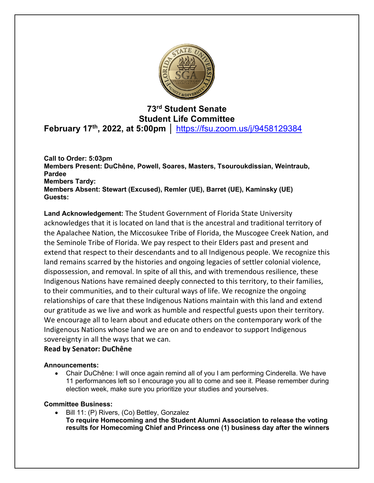

# **73rd Student Senate Student Life Committee February 17th, 2022, at 5:00pm │** https://fsu.zoom.us/j/9458129384

**Call to Order: 5:03pm Members Present: DuChêne, Powell, Soares, Masters, Tsouroukdissian, Weintraub, Pardee Members Tardy: Members Absent: Stewart (Excused), Remler (UE), Barret (UE), Kaminsky (UE) Guests:** 

**Land Acknowledgement:** The Student Government of Florida State University acknowledges that it is located on land that is the ancestral and traditional territory of the Apalachee Nation, the Miccosukee Tribe of Florida, the Muscogee Creek Nation, and the Seminole Tribe of Florida. We pay respect to their Elders past and present and extend that respect to their descendants and to all Indigenous people. We recognize this land remains scarred by the histories and ongoing legacies of settler colonial violence, dispossession, and removal. In spite of all this, and with tremendous resilience, these Indigenous Nations have remained deeply connected to this territory, to their families, to their communities, and to their cultural ways of life. We recognize the ongoing relationships of care that these Indigenous Nations maintain with this land and extend our gratitude as we live and work as humble and respectful guests upon their territory. We encourage all to learn about and educate others on the contemporary work of the Indigenous Nations whose land we are on and to endeavor to support Indigenous sovereignty in all the ways that we can.

# **Read by Senator: DuChêne**

# **Announcements:**

• Chair DuChêne: I will once again remind all of you I am performing Cinderella. We have 11 performances left so I encourage you all to come and see it. Please remember during election week, make sure you prioritize your studies and yourselves.

#### **Committee Business:**

• Bill 11: (P) Rivers, (Co) Bettley, Gonzalez **To require Homecoming and the Student Alumni Association to release the voting results for Homecoming Chief and Princess one (1) business day after the winners**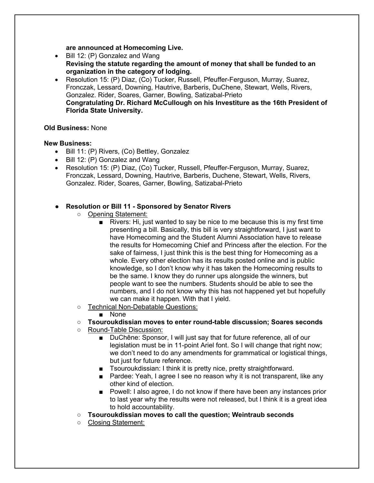**are announced at Homecoming Live.** 

- Bill 12: (P) Gonzalez and Wang **Revising the statute regarding the amount of money that shall be funded to an organization in the category of lodging.**
- Resolution 15: (P) Diaz, (Co) Tucker, Russell, Pfeuffer-Ferguson, Murray, Suarez, Fronczak, Lessard, Downing, Hautrive, Barberis, DuChene, Stewart, Wells, Rivers, Gonzalez. Rider, Soares, Garner, Bowling, Satizabal-Prieto **Congratulating Dr. Richard McCullough on his Investiture as the 16th President of Florida State University.**

#### **Old Business:** None

#### **New Business:**

- Bill 11: (P) Rivers, (Co) Bettley, Gonzalez
- Bill 12: (P) Gonzalez and Wang
- Resolution 15: (P) Diaz, (Co) Tucker, Russell, Pfeuffer-Ferguson, Murray, Suarez, Fronczak, Lessard, Downing, Hautrive, Barberis, Duchene, Stewart, Wells, Rivers, Gonzalez. Rider, Soares, Garner, Bowling, Satizabal-Prieto

#### ● **Resolution or Bill 11 - Sponsored by Senator Rivers**

- Opening Statement:
	- Rivers: Hi, just wanted to say be nice to me because this is my first time presenting a bill. Basically, this bill is very straightforward, I just want to have Homecoming and the Student Alumni Association have to release the results for Homecoming Chief and Princess after the election. For the sake of fairness, I just think this is the best thing for Homecoming as a whole. Every other election has its results posted online and is public knowledge, so I don't know why it has taken the Homecoming results to be the same. I know they do runner ups alongside the winners, but people want to see the numbers. Students should be able to see the numbers, and I do not know why this has not happened yet but hopefully we can make it happen. With that I yield.
- Technical Non-Debatable Questions:
	- None
- **Tsouroukdissian moves to enter round-table discussion; Soares seconds**
- Round-Table Discussion:
	- DuChêne: Sponsor, I will just say that for future reference, all of our legislation must be in 11-point Ariel font. So I will change that right now; we don't need to do any amendments for grammatical or logistical things, but just for future reference.
	- Tsouroukdissian: I think it is pretty nice, pretty straightforward.
	- Pardee: Yeah, I agree I see no reason why it is not transparent, like any other kind of election.
	- Powell: I also agree, I do not know if there have been any instances prior to last year why the results were not released, but I think it is a great idea to hold accountability.
- **Tsouroukdissian moves to call the question; Weintraub seconds**
- Closing Statement: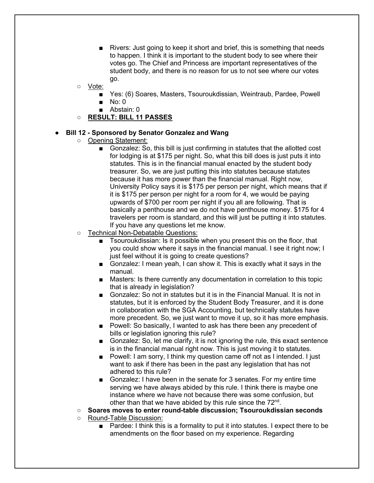- Rivers: Just going to keep it short and brief, this is something that needs to happen. I think it is important to the student body to see where their votes go. The Chief and Princess are important representatives of the student body, and there is no reason for us to not see where our votes go.
- Vote:
	- Yes: (6) Soares, Masters, Tsouroukdissian, Weintraub, Pardee, Powell
	- No: 0
	- Abstain: 0
- **RESULT: BILL 11 PASSES**

#### **Bill 12 - Sponsored by Senator Gonzalez and Wang**

- Opening Statement:
	- Gonzalez: So, this bill is just confirming in statutes that the allotted cost for lodging is at \$175 per night. So, what this bill does is just puts it into statutes. This is in the financial manual enacted by the student body treasurer. So, we are just putting this into statutes because statutes because it has more power than the financial manual. Right now, University Policy says it is \$175 per person per night, which means that if it is \$175 per person per night for a room for 4, we would be paying upwards of \$700 per room per night if you all are following. That is basically a penthouse and we do not have penthouse money. \$175 for 4 travelers per room is standard, and this will just be putting it into statutes. If you have any questions let me know.
- Technical Non-Debatable Questions:
	- Tsouroukdissian: Is it possible when you present this on the floor, that you could show where it says in the financial manual. I see it right now; I just feel without it is going to create questions?
	- Gonzalez: I mean yeah, I can show it. This is exactly what it says in the manual.
	- Masters: Is there currently any documentation in correlation to this topic that is already in legislation?
	- Gonzalez: So not in statutes but it is in the Financial Manual. It is not in statutes, but it is enforced by the Student Body Treasurer, and it is done in collaboration with the SGA Accounting, but technically statutes have more precedent. So, we just want to move it up, so it has more emphasis.
	- Powell: So basically, I wanted to ask has there been any precedent of bills or legislation ignoring this rule?
	- Gonzalez: So, let me clarify, it is not ignoring the rule, this exact sentence is in the financial manual right now. This is just moving it to statutes.
	- Powell: I am sorry, I think my question came off not as I intended. I just want to ask if there has been in the past any legislation that has not adhered to this rule?
	- Gonzalez: I have been in the senate for 3 senates. For my entire time serving we have always abided by this rule. I think there is maybe one instance where we have not because there was some confusion, but other than that we have abided by this rule since the 72<sup>nd</sup>.

#### ○ **Soares moves to enter round-table discussion; Tsouroukdissian seconds**

- Round-Table Discussion:
	- Pardee: I think this is a formality to put it into statutes. I expect there to be amendments on the floor based on my experience. Regarding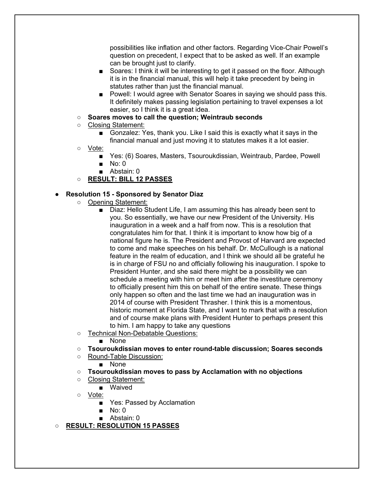possibilities like inflation and other factors. Regarding Vice-Chair Powell's question on precedent, I expect that to be asked as well. If an example can be brought just to clarify.

- Soares: I think it will be interesting to get it passed on the floor. Although it is in the financial manual, this will help it take precedent by being in statutes rather than just the financial manual.
- Powell: I would agree with Senator Soares in saying we should pass this. It definitely makes passing legislation pertaining to travel expenses a lot easier, so I think it is a great idea.
- **Soares moves to call the question; Weintraub seconds**
- Closing Statement:
	- Gonzalez: Yes, thank you. Like I said this is exactly what it says in the financial manual and just moving it to statutes makes it a lot easier.
- Vote:
	- Yes: (6) Soares, Masters, Tsouroukdissian, Weintraub, Pardee, Powell ■ No: 0
	- Abstain: 0
- **RESULT: BILL 12 PASSES**

## ● **Resolution 15 - Sponsored by Senator Diaz**

- Opening Statement:
	- Diaz: Hello Student Life, I am assuming this has already been sent to you. So essentially, we have our new President of the University. His inauguration in a week and a half from now. This is a resolution that congratulates him for that. I think it is important to know how big of a national figure he is. The President and Provost of Harvard are expected to come and make speeches on his behalf. Dr. McCullough is a national feature in the realm of education, and I think we should all be grateful he is in charge of FSU no and officially following his inauguration. I spoke to President Hunter, and she said there might be a possibility we can schedule a meeting with him or meet him after the investiture ceremony to officially present him this on behalf of the entire senate. These things only happen so often and the last time we had an inauguration was in 2014 of course with President Thrasher. I think this is a momentous, historic moment at Florida State, and I want to mark that with a resolution and of course make plans with President Hunter to perhaps present this to him. I am happy to take any questions
- Technical Non-Debatable Questions:
	- None
- **Tsouroukdissian moves to enter round-table discussion; Soares seconds**
- Round-Table Discussion:
	- None
- **Tsouroukdissian moves to pass by Acclamation with no objections**
- Closing Statement:
	- Waived
- Vote:
	- Yes: Passed by Acclamation
	- No: 0
	- Abstain: 0

○ **RESULT: RESOLUTION 15 PASSES**